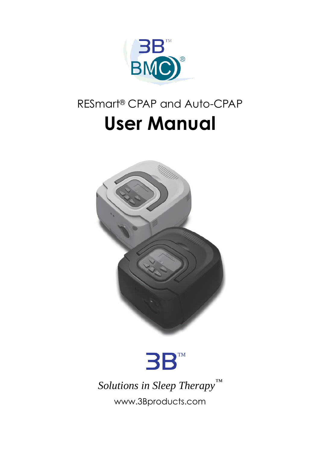

# RESmart® CPAP and Auto-CPAP **User Manual**





*Solutions in Sleep Therapy™* [www.3Bproducts.com](http://www.3bproducts.com/)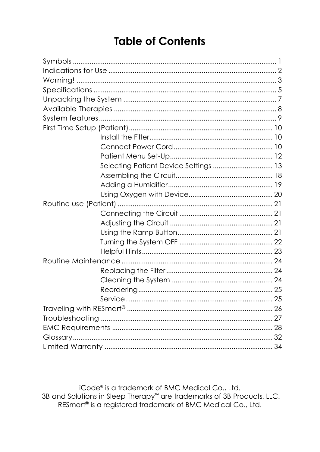# **Table of Contents**

| Selecting Patient Device Settings  13 |  |  |
|---------------------------------------|--|--|
|                                       |  |  |
|                                       |  |  |
|                                       |  |  |
|                                       |  |  |
|                                       |  |  |
|                                       |  |  |
|                                       |  |  |
|                                       |  |  |
|                                       |  |  |
|                                       |  |  |
|                                       |  |  |
|                                       |  |  |
|                                       |  |  |
|                                       |  |  |
|                                       |  |  |
|                                       |  |  |
|                                       |  |  |
|                                       |  |  |
|                                       |  |  |

iCode® is a trademark of BMC Medical Co., Ltd. 3B and Solutions in Sleep Therapy<sup>™</sup> are trademarks of 3B Products, LLC. RESmart® is a registered trademark of BMC Medical Co., Ltd.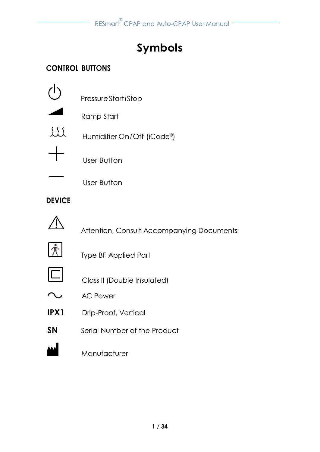# **Symbols**

## <span id="page-2-0"></span>**CONTROL BUTTONS**

|          | Pressure Start / Stop        |
|----------|------------------------------|
|          | Ramp Start                   |
| $\{55\}$ | Humidifier On / Off (iCode®) |
|          | User Button                  |
|          | User Button                  |

## **DEVICE**



Attention, Consult Accompanying Documents



Type BF Applied Part



Class II (Double Insulated)

- $\sim$ AC Power
- **IPX1** Drip-Proof, Vertical
- **SN** Serial Number of the Product

**MANUFACTURER**<br>Manufacturer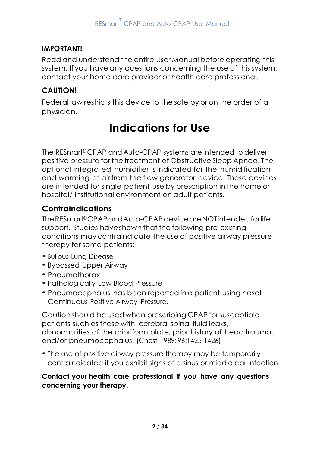#### **IMPORTANT!**

Read and understand the entire User Manual before operating this system. If you have any questions concerning the use of this system, contact your home care provider or health care professional.

## **CAUTION!**

<span id="page-3-0"></span>Federal law restricts this device to the sale by or on the order of a physician.

# **Indications for Use**

The RESmart®CPAP and Auto-CPAP systems are intended to deliver positive pressure for the treatment of Obstructive Sleep Apnea. The optional integrated humidifier is indicated for the humidification and warming of air from the flow generator device. These devices are intended for single patient use by prescription in the home or hospital/ institutional environment on adult patients.

## **Contraindications**

TheRESmart®CPAPandAuto-CPAPdeviceareNOTintendedforlife support. Studies haveshown that the following pre-existing conditions may contraindicate the use of positive airway pressure therapy for some patients:

- Bullous Lung Disease
- Bypassed Upper Airway
- Pneumothorax
- Pathologically Low Blood Pressure
- Pneumocephalus has been reported in <sup>a</sup> patient using nasal Continuous Positive Airway Pressure.

Caution should be used when prescribing CPAP for susceptible patients such as those with: cerebral spinal fluid leaks, abnormalities of the cribriform plate, prior history of head trauma, and/or pneumocephalus. (Chest 1989: 96:1425-1426)

• The use of positive airway pressure therapy may be temporarily contraindicated if you exhibit signs of a sinus or middle ear infection.

#### **Contact your health care professional if you have any questions concerning your therapy.**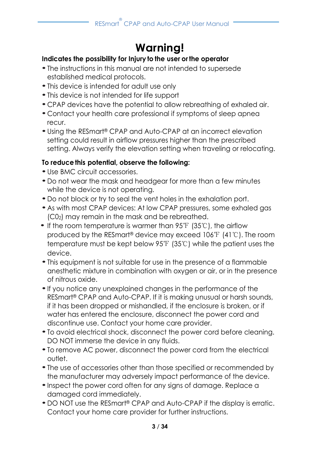# **Warning!**

#### <span id="page-4-0"></span>**Indicates the possibility for Injury to the user or the operator**

- The instructions in this manual are not intended to supersede established medical protocols.
- This device is intended for adult use only
- This device is not intended for life support
- CPAP devices have the potential to allow rebreathing of exhaled air.
- Contact your health care professional if symptoms of sleep apnea recur.
- Using the RESmart® CPAP and Auto-CPAP at an incorrect elevation setting could result in airflow pressures higher than the prescribed setting. Always verify the elevation setting when traveling or relocating.

#### **To reducethis potential, observe the following:**

- Use BMC circuit accessories.
- Do not wear the mask and headgear for more than a few minutes while the device is not operating.
- Do not block or try to seal the vent holes in the exhalation port.
- As with most CPAP devices: At low CPAP pressures, some exhaled gas (C02) may remain in the mask and be rebreathed.
- If the room temperature is warmer than 95°F (35°C), the airflow produced by the RESmart® device may exceed 106℉ (41℃). The room temperature must be kept below 95℉ (35℃) while the patient uses the device.
- This equipment is not suitable for use in the presence of a flammable anesthetic mixture in combination with oxygen or air, or in the presence of nitrous oxide.
- •If you notice any unexplained changes in the performance of the RESmart® CPAP and Auto-CPAP. If it is making unusual or harsh sounds, if it has been dropped or mishandled, if the enclosure is broken, or if water has entered the enclosure, disconnect the power cord and discontinue use. Contact your home care provider.
- To avoid electrical shock, disconnect the power cord before cleaning. DO NOT immerse the device in any fluids.
- To remove AC power, disconnect the power cord from the electrical outlet.
- The use of accessories other than those specified or recommended by the manufacturer may adversely impact performance of the device.
- Inspect the power cord often for any signs of damage. Replace a damaged cord immediately.
- DO NOT use the RESmart ® CPAP and Auto-CPAP if the display is erratic. Contact your home care provider for further instructions.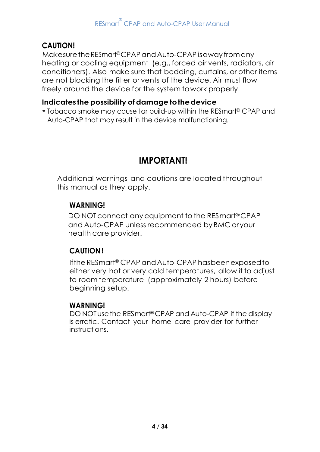### **CAUTION!**

Makesure the RESmart®CPAP and Auto-CPAP is away from any heating or cooling equipment (e.g., forced air vents, radiators, air conditioners). Also make sure that bedding, curtains, or other items are not blocking the filter or vents of the device. Air must flow freely around the device for the system towork properly.

#### **Indicates the possibility of damagetothedevice**

• Tobacco smoke may cause tar build-up within the RESmart ® CPAP and Auto-CPAP that may result in the device malfunctioning.

# **IMPORTANT!**

Additional warnings and cautions are located throughout this manual as they apply.

#### **WARNING!**

DO NOTconnect any equipment to the RESmart®CPAP and Auto-CPAP unless recommended by BMC oryour health care provider.

#### **CAUTION**!

Ifthe RESmart® CPAP andAuto-CPAP hasbeenexposedto either very hot or very cold temperatures, allow it to adjust to room temperature (approximately 2 hours) before beginning setup.

#### **WARNING!**

DO NOTusethe RESmart® CPAP and Auto-CPAP if the display is erratic. Contact your home care provider for further instructions.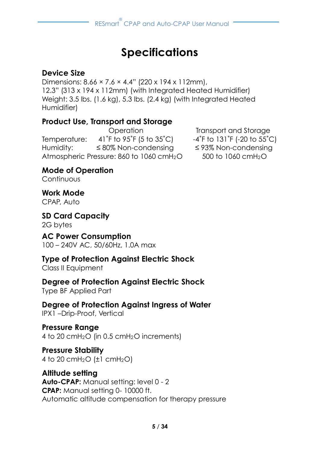# **Specifications**

### <span id="page-6-0"></span>**Device Size**

Dimensions: 8.66 × 7.6 × 4.4" (220 x 194 x 112mm), 12.3" (313 x 194 x 112mm) (with Integrated Heated Humidifier) Weight: 3.5 lbs. (1.6 kg), 5.3 lbs. (2.4 kg) (with Integrated Heated Humidifier)

#### **Product Use, Transport and Storage**

Temperature:  $41^\circ$ F to 95 $^\circ$ F (5 to 35 $^\circ$ C)  $-4^\circ$ F to 131 $^\circ$ F (-20 to 55 $^\circ$ C) Humidity: ≤ 80% Non-condensing ≤ 93% Non-condensing Atmospheric Pressure: 860 to 1060 cmH<sub>2</sub>O 500 to 1060 cmH<sub>2</sub>O

Operation Transport and Storage

**Mode of Operation**

**Continuous** 

## **Work Mode**

CPAP, Auto

# **SD Card Capacity**

2G bytes

#### **AC Power Consumption** 100 – 240V AC, 50/60Hz, 1.0A max

## **Type of Protection Against Electric Shock**

Class II Equipment

#### **Degree of Protection Against Electric Shock** Type BF Applied Part

## **Degree of Protection Against Ingress of Water**

IPX1 –Drip-Proof, Vertical

#### **Pressure Range** 4 to 20 cmH2O (in 0.5 cmH2O increments)

**Pressure Stability** 4 to 20 cmH<sub>2</sub>O  $(\pm 1 \text{ cm}H_2O)$ 

## **Altitude setting**

**Auto-CPAP:** Manual setting: level 0 - 2 **CPAP:** Manual setting 0- 10000 ft. Automatic altitude compensation for therapy pressure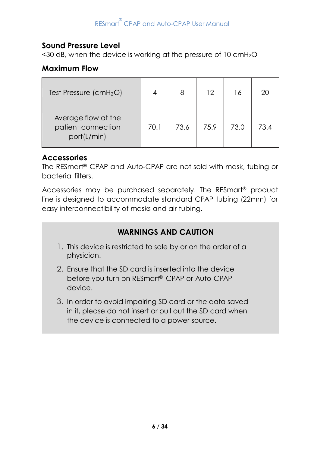#### **Sound Pressure Level**

<30 dB, when the device is working at the pressure of 10 cmH2O

#### **Maximum Flow**

| Test Pressure $(cmH2O)$                                  |      | 8    | 12   | 16   | 20  |
|----------------------------------------------------------|------|------|------|------|-----|
| Average flow at the<br>patient connection<br>port(L/min) | 70.1 | 73.6 | 75.9 | 73.0 | 734 |

#### **Accessories**

The RESmart ® CPAP and Auto-CPAP are not sold with mask, tubing or bacterial filters.

Accessories may be purchased separately. The RESmart ® product line is designed to accommodate standard CPAP tubing (22mm) for easy interconnectibility of masks and air tubing.

## **WARNINGS AND CAUTION**

- 1. This device is restricted to sale by or on the order of a physician.
- 2. Ensure that the SD card is inserted into the device before you turn on RESmart ® CPAP or Auto-CPAP device.
- 3. In order to avoid impairing SD card or the data saved in it, please do not insert or pull out the SD card when the device is connected to a power source.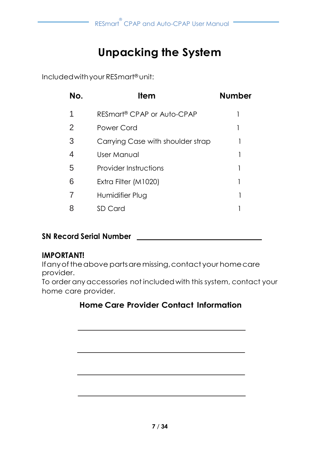# **Unpacking the System**

<span id="page-8-0"></span>Includedwithyour RESmart ® unit:

| No. | ltem                                   | <b>Number</b> |
|-----|----------------------------------------|---------------|
| 1   | RESmart <sup>®</sup> CPAP or Auto-CPAP |               |
| 2   | Power Cord                             |               |
| 3   | Carrying Case with shoulder strap      |               |
| 4   | User Manual                            |               |
| 5   | <b>Provider Instructions</b>           |               |
| 6   | Extra Filter (M1020)                   |               |
|     | Humidifier Plug                        |               |
|     | SD Card                                |               |

## **SN Record Serial Number**

#### **IMPORTANT!**

If any of the above parts are missing, contact your home care provider.

To order anyaccessories not included with this system, contact your home care provider.

## **Home Care Provider Contact Information**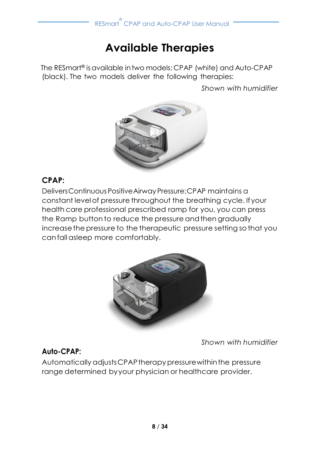# **Available Therapies**

<span id="page-9-0"></span>The RESmart ® isavailable intwo models: CPAP (white) and Auto-CPAP (black). The two models deliver the following therapies:

*Shown with humidifier*



## **CPAP:**

DeliversContinuousPositiveAirway Pressure;CPAP maintains a constant levelof pressure throughout the breathing cycle. If your health care professional prescribed ramp for you, you can press the Ramp button to reduce the pressure and then gradually increasethe pressure to the therapeutic pressure setting sothat you canfall asleep more comfortably.



*Shown with humidifier*

#### **Auto-CPAP:**

Automatically adjustsCPAPtherapypressurewithinthe pressure range determined byyour physician or healthcare provider.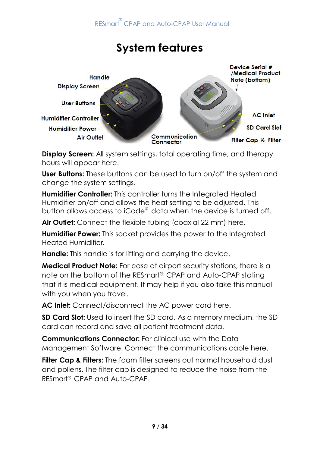# **System features**

<span id="page-10-0"></span>

**Display Screen:** All system settings, total operating time, and therapy hours will appear here.

**User Buttons:** These buttons can be used to turn on/off the system and change the system settings.

**Humidifier Controller:** This controller turns the Integrated Heated Humidifier on/off and allows the heat setting to be adjusted. This button allows access to iCode® data when the device is turned off.

**Air Outlet:** Connect the flexible tubing (coaxial 22 mm) here.

**Humidifier Power:** This socket provides the power to the Integrated Heated Humidifier.

**Handle:** This handle is for lifting and carrying the device.

**Medical Product Note:** For ease at airport security stations, there is a note on the bottom of the RESmart ® CPAP and Auto-CPAP stating that it is medical equipment. It may help if you also take this manual with you when you travel.

**AC Inlet:** Connect/disconnect the AC power cord here.

**SD Card Slot:** Used to insert the SD card. As a memory medium, the SD card can record and save all patient treatment data.

**Communications Connector:** For clinical use with the Data Management Software. Connect the communications cable here.

**Filter Cap & Filters:** The foam filter screens out normal household dust and pollens. The filter cap is designed to reduce the noise from the RESmart ® CPAP and Auto-CPAP.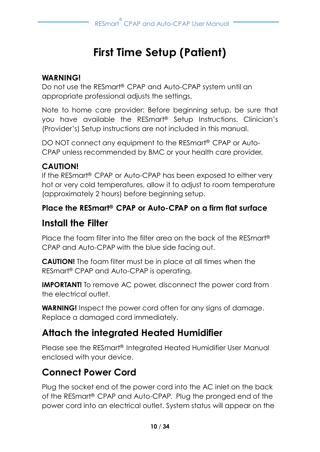# **First Time Setup (Patient)**

### <span id="page-11-0"></span>**WARNING!**

Do not use the RESmart ® CPAP and Auto-CPAP system until an appropriate professional adjusts the settings.

Note to home care provider: Before beginning setup, be sure that you have available the RESmart ® Setup Instructions. Clinician's (Provider's) Setup instructions are not included in this manual.

DO NOT connect any equipment to the RESmart ® CPAP or Auto-CPAP unless recommended by BMC or your health care provider.

### **CAUTION!**

If the RESmart ® CPAP or Auto-CPAP has been exposed to either very hot or very cold temperatures, allow it to adjust to room temperature (approximately 2 hours) before beginning setup.

### **Place the RESmart ® CPAP or Auto-CPAP on a firm flat surface**

# <span id="page-11-1"></span>**Install the Filter**

Place the foam filter into the filter area on the back of the RESmart ® CPAP and Auto-CPAP with the blue side facing out.

**CAUTION!** The foam filter must be in place at all times when the RESmart ® CPAP and Auto-CPAP is operating.

**IMPORTANT!** To remove AC power, disconnect the power cord from the electrical outlet.

**WARNING!** Inspect the power cord often for any signs of damage. Replace a damaged cord immediately.

# **Attach the integrated Heated Humidifier**

Please see the RESmart ® Integrated Heated Humidifier User Manual enclosed with your device.

# <span id="page-11-2"></span>**Connect Power Cord**

Plug the socket end of the power cord into the AC inlet on the back of the RESmart ® CPAP and Auto-CPAP. Plug the pronged end of the power cord into an electrical outlet. System status will appear on the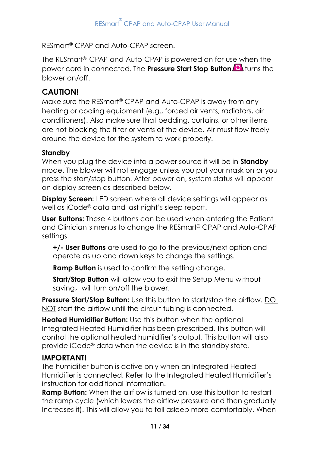RESmart ® CPAP and Auto-CPAP screen.

The RESmart ® CPAP and Auto-CPAP is powered on for use when the power cord in connected. The **Pressure Start Stop Button** turns the blower on/off.

## **CAUTION!**

Make sure the RESmart® CPAP and Auto-CPAP is away from any heating or cooling equipment (e.g., forced air vents, radiators, air conditioners). Also make sure that bedding, curtains, or other items are not blocking the filter or vents of the device. Air must flow freely around the device for the system to work properly.

#### **Standby**

When you plug the device into a power source it will be in **Standby**  mode. The blower will not engage unless you put your mask on or you press the start/stop button. After power on, system status will appear on display screen as described below.

**Display Screen:** LED screen where all device settings will appear as well as iCode® data and last night's sleep report.

**User Buttons:** These 4 buttons can be used when entering the Patient and Clinician's menus to change the RESmart® CPAP and Auto-CPAP settings.

**+/- User Buttons** are used to go to the previous/next option and operate as up and down keys to change the settings.

**Ramp Button** is used to confirm the setting change.

**Start/Stop Button** will allow you to exit the Setup Menu without saving, will turn on/off the blower.

**Pressure Start/Stop Button:** Use this button to start/stop the airflow. DO NOT start the airflow until the circuit tubing is connected.

**Heated Humidifier Button:** Use this button when the optional Integrated Heated Humidifier has been prescribed. This button will control the optional heated humidifier's output. This button will also provide iCode® data when the device is in the standby state.

#### **IMPORTANT!**

The humidifier button is active only when an Integrated Heated Humidifier is connected. Refer to the Integrated Heated Humidifier's instruction for additional information.

**Ramp Button:** When the airflow is turned on, use this button to restart the ramp cycle (which lowers the airflow pressure and then gradually Increases it). This will allow you to fall asleep more comfortably. When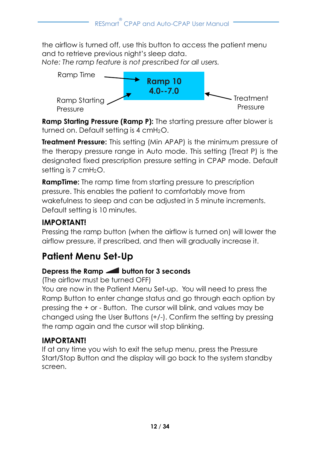the airflow is turned off, use this button to access the patient menu and to retrieve previous night's sleep data.

*Note: The ramp feature is not prescribed for all users.*



**Ramp Starting Pressure (Ramp P):** The starting pressure after blower is turned on. Default setting is 4 cmH<sub>2</sub>O.

**Treatment Pressure:** This setting (Min APAP) is the minimum pressure of the therapy pressure range in Auto mode. This setting (Treat P) is the designated fixed prescription pressure setting in CPAP mode. Default setting is 7 cmH<sub>2</sub>O.

**RampTime:** The ramp time from starting pressure to prescription pressure. This enables the patient to comfortably move from wakefulness to sleep and can be adjusted in 5 minute increments. Default setting is 10 minutes.

## **IMPORTANT!**

Pressing the ramp button (when the airflow is turned on) will lower the airflow pressure, if prescribed, and then will gradually increase it.

# <span id="page-13-0"></span>**Patient Menu Set-Up**

## **Depress the Ramp button for 3 seconds**

(The airflow must be turned OFF)

You are now in the Patient Menu Set-up. You will need to press the Ramp Button to enter change status and go through each option by pressing the + or - Button. The cursor will blink, and values may be changed using the User Buttons (+/-). Confirm the setting by pressing the ramp again and the cursor will stop blinking.

## **IMPORTANT!**

If at any time you wish to exit the setup menu, press the Pressure Start/Stop Button and the display will go back to the system standby screen.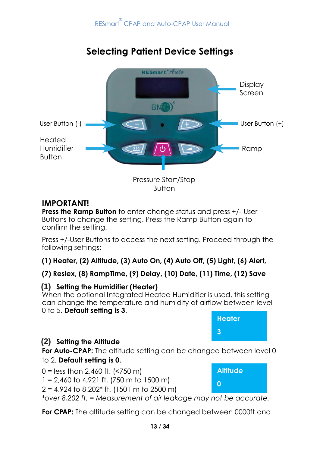# **Selecting Patient Device Settings**

<span id="page-14-0"></span>

Button

## **IMPORTANT!**

**Press the Ramp Button** to enter change status and press +/- User Buttons to change the setting. Press the Ramp Button again to confirm the setting.

Press +/-User Buttons to access the next setting. Proceed through the following settings:

**(1) Heater, (2) Altitude, (3) Auto On, (4) Auto Off, (5) Light, (6) Alert,**

#### **(7) Reslex, (8) RampTime, (9) Delay, (10) Date, (11) Time, (12) Save**

#### **(1) Setting the Humidifier (Heater)**

When the optional Integrated Heated Humidifier is used, this setting can change the temperature and humidity of airflow between level 0 to 5. **Default setting is 3**.

# **Heater 3**

## **(2) Setting the Altitude**

**For Auto-CPAP:** The altitude setting can be changed between level 0 to 2. **Default setting is 0.**

| $0 =$ less than 2,460 ft. (<750 m)         |  |
|--------------------------------------------|--|
| $1 = 2,460$ to 4,921 ft. (750 m to 1500 m) |  |

 $2 = 4,924$  to 8,202\* ft. (1501 m to 2500 m)

*\*over 8,202 ft. = Measurement of air leakage may not be accurate.*  **0**

**For CPAP:** The altitude setting can be changed between 0000ft and

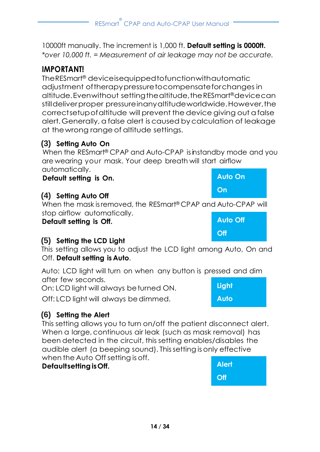10000ft manually. The increment is 1,000 ft. **Default setting is 0000ft.** *\*over 10,000 ft. = Measurement of air leakage may not be accurate.*

## **IMPORTANT!**

TheRESmart® deviceisequippedtofunctionwithautomatic adjustment oftherapypressuretocompensateforchanges in altitude.Evenwithout settingthealtitude,theRESmart®devicecan stilldeliverproper pressureinanyaltitudeworldwide.However,the correctsetupofaltitude will prevent the device giving out afalse alert.Generally, a false alert is caused bycalculation of leakage at thewrong range of altitude settings.

### **(3) Setting Auto On**

When the RESmart<sup>®</sup> CPAP and Auto-CPAP is instandby mode and you are wearing your mask. Your deep breath will start airflow automatically. **Auto On**

**Default setting is On.**

### **(4) Setting Auto Off**

When the mask isremoved, the RESmart® CPAP and Auto-CPAP will stop airflow automatically.

**Default setting is Off.**

## **(5) Setting the LCD Light**

This setting allows you to adjust the LCD light among Auto, On and Off. **Default setting is Auto**.

Auto: LCD light will turn on when any button is pressed and dim after few seconds. **Light**

On: LCD light will always beturned ON.

Off: LCD light will always bedimmed.

## **(6) Setting the Alert**

This setting allows you to turn on/off the patient disconnect alert. When a large, continuous air leak (such as mask removal) has been detected in the circuit, this setting enables/disables the audible alert (a beeping sound). Thissetting is only effective when the Auto Off setting is off.

#### **DefaultsettingisOff.**





**Auto**

**On**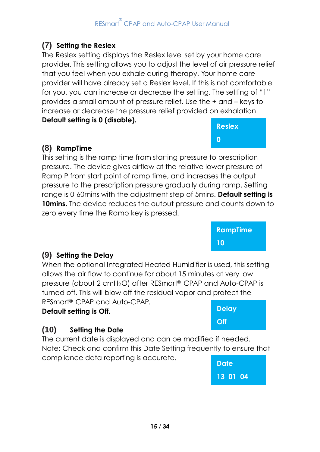## **(7) Setting the Reslex**

The Reslex setting displays the Reslex level set by your home care provider. This setting allows you to adjust the level of air pressure relief that you feel when you exhale during therapy. Your home care provider will have already set a Reslex level. If this is not comfortable for you, you can increase or decrease the setting. The setting of "1" provides a small amount of pressure relief. Use the + and – keys to increase or decrease the pressure relief provided on exhalation. **Default setting is 0 (disable).**

## **(8) RampTime**

This setting is the ramp time from starting pressure to prescription pressure. The device gives airflow at the relative lower pressure of Ramp P from start point of ramp time, and increases the output pressure to the prescription pressure gradually during ramp. Setting range is 0-60mins with the adjustment step of 5mins. **Default setting is**  10mins. The device reduces the output pressure and counts down to zero every time the Ramp key is pressed.

> **RampTime 10**

#### **(9) Setting the Delay**

When the optional Integrated Heated Humidifier is used, this setting allows the air flow to continue for about 15 minutes at very low pressure (about 2 cmH2O) after RESmart ® CPAP and Auto-CPAP is turned off. This will blow off the residual vapor and protect the RESmart ® CPAP and Auto-CPAP.

#### **Default setting is Off.**

## **(10) Setting the Date**

The current date is displayed and can be modified if needed. Note: Check and confirm this Date Setting frequently to ensure that compliance data reporting is accurate.





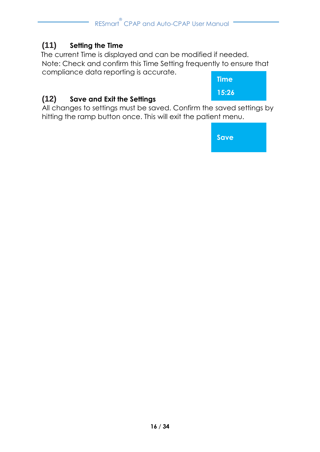## **(11) Setting the Time**

The current Time is displayed and can be modified if needed. Note: Check and confirm this Time Setting frequently to ensure that compliance data reporting is accurate.



## **(12) Save and Exit the Settings**

All changes to settings must be saved. Confirm the saved settings by hitting the ramp button once. This will exit the patient menu.

**Save**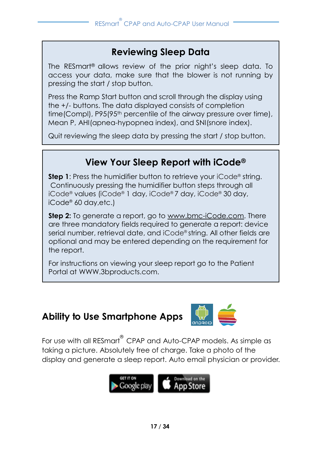# **Reviewing Sleep Data**

The RESmart® allows review of the prior night's sleep data. To access your data, make sure that the blower is not running by pressing the start / stop button.

Press the Ramp Start button and scroll through the display using the +/- buttons. The data displayed consists of completion time(Compl), P95(95<sup>th</sup> percentile of the airway pressure over time), Mean P, AHI(apnea-hypopnea index), and SNI(snore index).

Quit reviewing the sleep data by pressing the start / stop button.

# **View Your Sleep Report with iCode®**

**Step 1**: Press the humidifier button to retrieve your iCode® string. Continuously pressing the humidifier button steps through all iCode® values (iCode® 1 day, iCode® 7 day, iCode® 30 day, iCode® 60 day,etc.)

**Step 2:** To generate a report, go to [www.bmc-iCode.com.](http://www.bmc-icode.com/) There are three mandatory fields required to generate a report: device serial number, retrieval date, and iCode® string. All other fields are optional and may be entered depending on the requirement for the report.

For instructions on viewing your sleep report go to the Patient Portal at WWW.3bproducts.com.

# **Ability to Use Smartphone Apps**



For use with all RESmart<sup>®</sup> CPAP and Auto-CPAP models. As simple as taking a picture. Absolutely free of charge. Take a photo of the display and generate a sleep report. Auto email physician or provider.

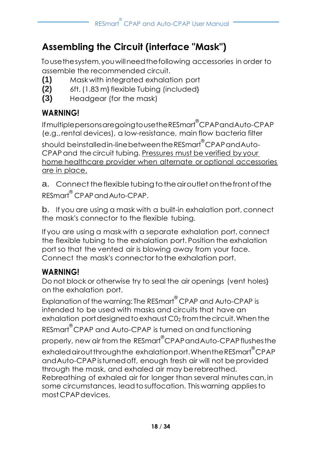# <span id="page-19-0"></span>**Assembling the Circuit (interface "Mask")**

Tousethesystem,youwillneedthefollowing accessories in order to assemble the recommended circuit.

- **(1)** Mask with integrated exhalation port
- **(2)** 6ft.(1.83 m} flexible Tubing (included}
- **(3)** Headgear (for the mask)

# **WARNING!**

IfmultiplepersonsaregoingtousetheRESmart ® CPAPandAuto-CPAP (e.g.,rental devices), a low-resistance, main flow bacteria filter should beinstalledin-linebetweentheRESmart ® CPAPandAuto-CPAP and the circuit tubing. Pressures must be verified by your home healthcare provider when alternate or optional accessories are in place.

a. Connect the flexible tubing to the giroutlet on the front of the RESmart® CPAP and Auto-CPAP.

b. If you are using a mask with a built-in exhalation port, connect the mask's connector to the flexible tubing.

If you are using a mask with a separate exhalation port, connect the flexible tubing to the exhalation port. Position the exhalation port so that the vented air is blowing away from your face. Connect the mask's connector to the exhalation port.

# **WARNING!**

Do not block or otherwise try to seal the air openings (vent holes} on the exhalation port.

Explanation of the warning: The RESmart<sup>®</sup> CPAP and Auto-CPAP is intended to be used with masks and circuits that have an exhalation port designed to exhaust C0<sub>2</sub> from the circuit. When the RESmart<sup>®</sup>CPAP and Auto-CPAP is turned on and functioning properly, new air from the RESmart<sup>®</sup>CPAPandAuto-CPAP flushes the exhaledairoutthroughthe exhalationport.WhentheRESmart ® CPAP and Auto-CPAP is turned off, enough fresh air will not be provided through the mask, and exhaled air may be rebreathed. Rebreathing of exhaled air for longer than several minutes can,in some circumstances, leadtosuffocation. This warning appliesto mostCPAPdevices.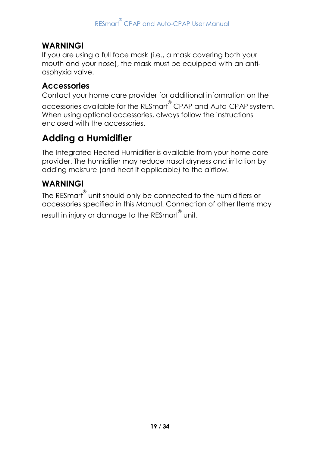## **WARNING!**

If you are using a full face mask (i.e., a mask covering both your mouth and your nose), the mask must be equipped with an antiasphyxia valve.

### **Accessories**

Contact your home care provider for additional information on the

accessories available for the RESmart ® CPAP and Auto-CPAP system. When using optional accessories, always follow the instructions enclosed with the accessories.

# <span id="page-20-0"></span>**Adding a Humidifier**

The Integrated Heated Humidifier is available from your home care provider. The humidifier may reduce nasal dryness and irritation by adding moisture (and heat if applicable) to the airflow.

## **WARNING!**

The RESmart unit should only be connected to the humidifiers or accessories specified in this Manual. Connection of other Items may result in injury or damage to the RESmart<sup>®</sup> unit.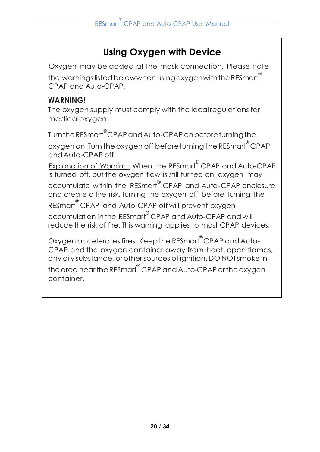# **Using Oxygen with Device**

Oxygen may be added at the mask connection. Please note the warnings listed belowwhen using oxygenwith the <code>RESmart $^\mathsf{\textregistered}$ </code> CPAP and Auto-CPAP.

## **WARNING!**

The oxygen supply must comply with the localregulations for medicaloxygen.

Turnthe RESmart®CPAP and Auto-CPAP on before turning the oxygen on. Turn the oxygen off before turning the RESmart<sup>®</sup>CPAP andAuto-CPAP off.

Explanation of Warning: When the RESmart® CPAP and Auto-CPAP is turned off, but the oxygen flow is still turned on, oxygen may accumulate within the RESmart ® CPAP and Auto-CPAP enclosure and create a fire risk. Turning the oxygen off before turning the

RESmart ® CPAP and Auto-CPAP off will prevent oxygen accumulation in the RESmart<sup>®</sup> CPAP and Auto-CPAP and will reduce the risk of fire. This warning applies to most CPAP devices.

Oxygen accelerates fires. Keepthe RESmart ® CPAP andAuto-CPAP and the oxygen container away from heat, open flames, any oily substance, orothersources of ignition. DO NOT smoke in

the area near the RESmart<sup>®</sup> CPAP and Auto-CPAP or the oxygen container.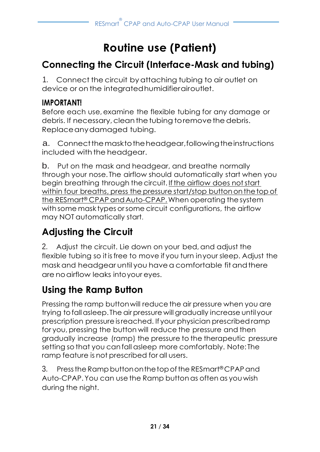# **Routine use (Patient)**

# <span id="page-22-1"></span><span id="page-22-0"></span>**Connecting the Circuit (Interface-Mask and tubing)**

1. Connect the circuit byattaching tubing to air outlet on device or on the integratedhumidifierairoutlet.

## **IMPORTANT!**

Before each use, examine the flexible tubing for any damage or debris. If necessary, clean the tubing to remove the debris. Replaceanydamaged tubing.

a. Connect the mask to the headgear, following the instructions included with the headgear.

b. Put on the mask and headgear, and breathe normally through your nose. The airflow should automatically start when you begin breathing through the circuit. If the airflow does not start within four breaths, press the pressure start/stop buttononthetop of the RESmart® CPAP andAuto-CPAP.When operating thesystem with some mask types orsome circuit configurations, the airflow may NOT automatically start.

# <span id="page-22-2"></span>**Adjusting the Circuit**

2. Adjust the circuit. Lie down on your bed,and adjust the flexible tubing so it is free to move if you turn in your sleep. Adjust the mask and headgear until you havea comfortable fitandthere are noairflow leaks intoyour eyes.

# <span id="page-22-3"></span>**Using the Ramp Button**

Pressing the ramp button will reduce the air pressure when you are trying to fall asleep. The air pressure will gradually increase until your prescription pressureisreached. If your physician prescribedramp for you, pressing the button will reduce the pressure and then gradually increase (ramp) the pressure to the therapeutic pressure setting sothat you canfall asleep more comfortably. Note: The ramp feature is not prescribed for all users.

3. Press the Ramp button on the top of the RESmart®CPAP and Auto-CPAP.You can use the Ramp buttonas often as you wish during the night.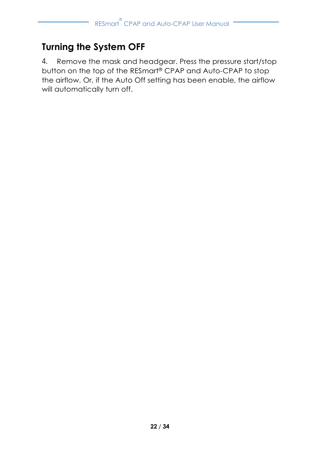# <span id="page-23-0"></span>**Turning the System OFF**

4. Remove the mask and headgear. Press the pressure start/stop button on the top of the RESmart® CPAP and Auto-CPAP to stop the airflow. Or, if the Auto Off setting has been enable, the airflow will automatically turn off.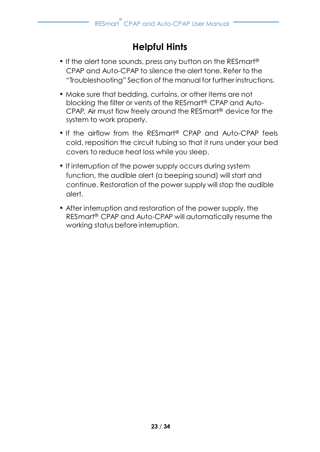# **Helpful Hints**

- <span id="page-24-0"></span>• If the alert tone sounds, press any button on the RESmart® CPAP and Auto-CPAP to silence the alert tone. Refer to the "Troubleshooting" Section of the manual for further instructions.
- Make sure that bedding, curtains, or other items are not blocking the filter or vents of the RESmart® CPAP and Auto-CPAP. Air must flow freely around the RESmart® device for the system to work properly.
- If the airflow from the RESmart ® CPAP and Auto-CPAP feels cold, reposition the circuit tubing so that it runs under your bed covers to reduce heat loss while you sleep.
- If interruption of the power supply occurs during system function, the audible alert (a beeping sound) will start and continue. Restoration of the power supply will stop the audible alert.
- After interruption and restoration of the power supply, the RESmart® CPAP and Auto-CPAP will automatically resume the working status before interruption.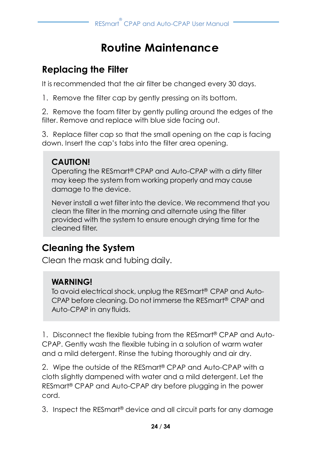# **Routine Maintenance**

# <span id="page-25-1"></span><span id="page-25-0"></span>**Replacing the Filter**

It is recommended that the air filter be changed every 30 days.

1. Remove the filter cap by gently pressing on its bottom.

2. Remove the foam filter by gently pulling around the edges of the filter. Remove and replace with blue side facing out.

3. Replace filter cap so that the small opening on the cap is facing down. Insert the cap's tabs into the filter area opening.

# **CAUTION!**

Operating the RESmart ® CPAP and Auto-CPAP with a dirty filter may keep the system from working properly and may cause damage to the device.

<span id="page-25-2"></span>Never install a wet filter into the device. We recommend that you clean the filter in the morning and alternate using the filter provided with the system to ensure enough drying time for the cleaned filter.

# **Cleaning the System**

Clean the mask and tubing daily.

# **WARNING!**

To avoid electrical shock, unplug the RESmart ® CPAP and Auto-CPAP before cleaning. Do not immerse the RESmart ® CPAP and Auto-CPAP in any fluids.

1. Disconnect the flexible tubing from the RESmart® CPAP and Auto-CPAP. Gently wash the flexible tubing in a solution of warm water and a mild detergent. Rinse the tubing thoroughly and air dry.

2. Wipe the outside of the RESmart® CPAP and Auto-CPAP with a cloth slightly dampened with water and a mild detergent. Let the RESmart® CPAP and Auto-CPAP dry before plugging in the power cord.

3. Inspect the RESmart® device and all circuit parts for any damage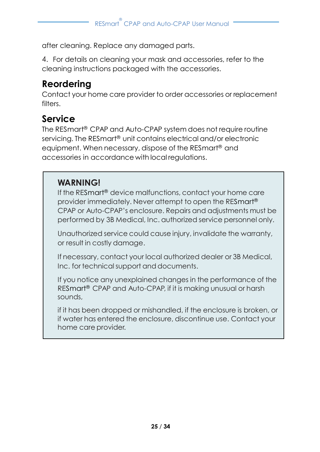after cleaning. Replace any damaged parts.

4. For details on cleaning your mask and accessories, refer to the cleaning instructions packaged with the accessories.

# <span id="page-26-0"></span>**Reordering**

Contact your home care provider to order accessories or replacement filters

# <span id="page-26-1"></span>**Service**

The RESmart ® CPAP and Auto-CPAP system does not require routine servicing. The RESmart ® unit contains electrical and/or electronic equipment. When necessary, dispose of the RESmart ® and accessories in accordance with local regulations.

# **WARNING!**

If the RESmart ® device malfunctions, contact your home care provider immediately. Never attempt to open the RESmart ® CPAP or Auto-CPAP's enclosure. Repairs and adjustments must be performed by 3B Medical, Inc. authorized service personnel only.

Unauthorized service could cause injury, invalidate the warranty, or result in costly damage.

If necessary, contact your local authorized dealer or 3B Medical, Inc. for technical support and documents.

If you notice any unexplained changes in the performance of the RESmart® CPAP and Auto-CPAP, if it is making unusual or harsh sounds,

if it has been dropped or mishandled, if the enclosure is broken, or if water has entered the enclosure, discontinue use. Contact your home care provider.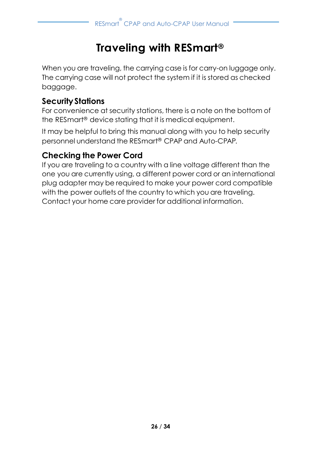# **Traveling with RESmart®**

<span id="page-27-0"></span>When you are traveling, the carrying case is for carry-on luggage only. The carrying case will not protect the system if it is stored as checked baggage.

## **SecurityStations**

For convenience at security stations, there is a note on the bottom of the RESmart® device stating that it is medical equipment.

It may be helpful to bring this manual along with you to help security personnel understand the RESmart® CPAP and Auto-CPAP.

# **Checking the Power Cord**

If you are traveling to a country with a line voltage different than the one you are currently using, a different power cord or an international plug adapter may be required to make your power cord compatible with the power outlets of the country to which you are traveling. Contact your home care provider for additional information.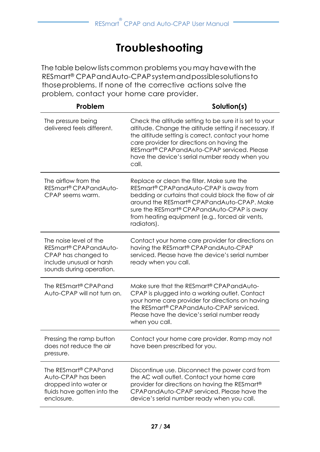# **Troubleshooting**

<span id="page-28-0"></span>The table below lists common problems you may have with the RESmart ® CPAPandAuto-CPAPsystemandpossiblesolutionsto thoseproblems. If none of the corrective actions solve the problem, contact your home care provider.

| Problem                                                                                                                        | Solution(s)                                                                                                                                                                                                                                                                                                                                |
|--------------------------------------------------------------------------------------------------------------------------------|--------------------------------------------------------------------------------------------------------------------------------------------------------------------------------------------------------------------------------------------------------------------------------------------------------------------------------------------|
| The pressure being<br>delivered feels different.                                                                               | Check the altitude setting to be sure it is set to your<br>altitude. Change the altitude setting if necessary. If<br>the altitude setting is correct, contact your home<br>care provider for directions on having the<br>RESmart <sup>®</sup> CPAPandAuto-CPAP serviced. Please<br>have the device's serial number ready when you<br>call. |
| The airflow from the<br>RESmart® CPAPandAuto-<br>CPAP seems warm.                                                              | Replace or clean the filter. Make sure the<br>RESmart <sup>®</sup> CPAPandAuto-CPAP is away from<br>bedding or curtains that could block the flow of air<br>around the RESmart® CPAPandAuto-CPAP, Make<br>sure the RESmart® CPAPandAuto-CPAP is away<br>from heating equipment (e.g., forced air vents,<br>radiators).                     |
| The noise level of the<br>RESmart® CPAPandAuto-<br>CPAP has changed to<br>include unusual or harsh<br>sounds during operation. | Contact your home care provider for directions on<br>having the RESmart® CPAPandAuto-CPAP<br>serviced. Please have the device's serial number<br>ready when you call.                                                                                                                                                                      |
| The RESmart® CPAPand<br>Auto-CPAP will not turn on.                                                                            | Make sure that the RESmart® CPAPandAuto-<br>CPAP is plugged into a working outlet. Contact<br>your home care provider for directions on having<br>the RESmart® CPAPandAuto-CPAP serviced.<br>Please have the device's serial number ready<br>when you call.                                                                                |
| Pressing the ramp button<br>does not reduce the air<br>pressure.                                                               | Contact your home care provider. Ramp may not<br>have been prescribed for you.                                                                                                                                                                                                                                                             |
| The RESmart <sup>®</sup> CPAPand<br>Auto-CPAP has been<br>dropped into water or<br>fluids have gotten into the<br>enclosure.   | Discontinue use. Disconnect the power cord from<br>the AC wall outlet. Contact your home care<br>provider for directions on having the RESmart <sup>®</sup><br>CPAPandAuto-CPAP serviced. Please have the<br>device's serial number ready when you call.                                                                                   |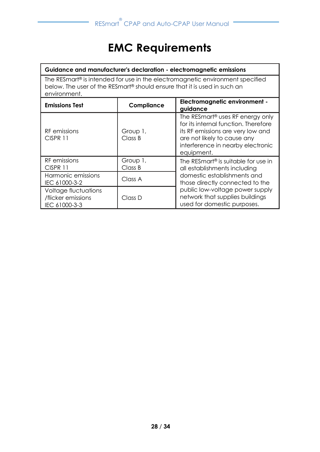# **EMC Requirements**

#### <span id="page-29-0"></span>**Guidance and manufacturer's declaration - electromagnetic emissions**

The RESmart® is intended for use in the electromagnetic environment specified below. The user of the RESmart® should ensure that it is used in such an environment.

| <b>Emissions Test</b>                                       | Compliance          | Electromagnetic environment -<br>guidance                                                                                                                                                                   |  |
|-------------------------------------------------------------|---------------------|-------------------------------------------------------------------------------------------------------------------------------------------------------------------------------------------------------------|--|
| RF emissions<br>CISPR 11                                    | Group 1,<br>Class B | The RESmart <sup>®</sup> uses RF energy only<br>for its internal function. Therefore<br>its RF emissions are very low and<br>are not likely to cause any<br>interference in nearby electronic<br>equipment. |  |
| RF emissions<br>CISPR 11                                    | Group 1,<br>Class B | The RESmart <sup>®</sup> is suitable for use in<br>all establishments including                                                                                                                             |  |
| Harmonic emissions<br>IEC 61000-3-2                         | Class A             | domestic establishments and<br>those directly connected to the                                                                                                                                              |  |
| Voltage fluctuations<br>/flicker emissions<br>IEC 61000-3-3 | Class D             | public low-voltage power supply<br>network that supplies buildings<br>used for domestic purposes.                                                                                                           |  |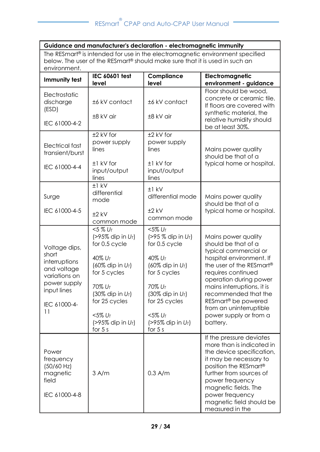÷

| Guidance and manufacturer's declaration - electromagnetic immunity                                                           |                                                                                                                                                                                                                             |                                                                                                                                                                                                                         |                                                                                                                                                                                                                                                                                                                                                   |  |  |
|------------------------------------------------------------------------------------------------------------------------------|-----------------------------------------------------------------------------------------------------------------------------------------------------------------------------------------------------------------------------|-------------------------------------------------------------------------------------------------------------------------------------------------------------------------------------------------------------------------|---------------------------------------------------------------------------------------------------------------------------------------------------------------------------------------------------------------------------------------------------------------------------------------------------------------------------------------------------|--|--|
| The RESmart <sup>®</sup> is intended for use in the electromagnetic environment specified                                    |                                                                                                                                                                                                                             |                                                                                                                                                                                                                         |                                                                                                                                                                                                                                                                                                                                                   |  |  |
| below. The user of the RESmart® should make sure that it is used in such an<br>environment.                                  |                                                                                                                                                                                                                             |                                                                                                                                                                                                                         |                                                                                                                                                                                                                                                                                                                                                   |  |  |
|                                                                                                                              | IEC 60601 test                                                                                                                                                                                                              | Compliance                                                                                                                                                                                                              | Electromagnetic                                                                                                                                                                                                                                                                                                                                   |  |  |
| Immunity test                                                                                                                | level                                                                                                                                                                                                                       | level                                                                                                                                                                                                                   | environment - guidance                                                                                                                                                                                                                                                                                                                            |  |  |
| Electrostatic<br>discharge<br>(ESD)<br>IEC 61000-4-2                                                                         | ±6 kV contact<br>±8 kV air                                                                                                                                                                                                  | ±6 kV contact<br>±8 kV air                                                                                                                                                                                              | Floor should be wood.<br>concrete or ceramic tile.<br>If floors are covered with<br>synthetic material, the<br>relative humidity should<br>be at least 30%.                                                                                                                                                                                       |  |  |
| Electrical fast<br>transient/burst<br>IEC 61000-4-4                                                                          | $±2$ kV for<br>power supply<br>lines<br>±1 kV for<br>input/output<br>lines                                                                                                                                                  | ±2 kV for<br>power supply<br>lines<br>±1 kV for<br>input/output<br>lines                                                                                                                                                | Mains power quality<br>should be that of a<br>typical home or hospital.                                                                                                                                                                                                                                                                           |  |  |
| Surge<br>IEC 61000-4-5                                                                                                       | $+1$ kV<br>differential<br>mode<br>$±2$ kV<br>common mode                                                                                                                                                                   | $±1$ kV<br>differential mode<br>$±2$ kV<br>common mode                                                                                                                                                                  | Mains power quality<br>should be that of a<br>typical home or hospital.                                                                                                                                                                                                                                                                           |  |  |
| Voltage dips,<br>short<br>interruptions<br>and voltage<br>variations on<br>power supply<br>input lines<br>IEC 61000-4-<br>11 | $< 5 \% U_T$<br>$(>95\%$ dip in $U_T$ )<br>for 0.5 cycle<br>$40\% U_{T}$<br>(60% dip in $U_T$ )<br>for 5 cycles<br>$70\%$ $U_T$<br>(30% dip in $U_T$ )<br>for 25 cycles<br>$<$ 5% $U_T$<br>(>95% dip in $U_T$ )<br>for $5s$ | $<$ 5% UT<br>$( > 95 %$ dip in $U_T$ )<br>for 0.5 cycle<br>$40\% U_{T}$<br>(60% dip in $U_T$ )<br>for 5 cycles<br>$70\%$ $U_T$<br>(30% dip in $U_T$ )<br>for 25 cycles<br>$<$ 5% UT<br>(>95% dip in $U_T$ )<br>for $5s$ | Mains power quality<br>should be that of a<br>typical commercial or<br>hospital environment. If<br>the user of the RESmart <sup>®</sup><br>requires continued<br>operation during power<br>mains interruptions, it is<br>recommended that the<br>RESmart <sup>®</sup> be powered<br>from an uninterruptible<br>power supply or from a<br>battery. |  |  |
| Power<br>frequency<br>$(50/60$ Hz)<br>magnetic<br>field<br>IEC 61000-4-8                                                     | $3$ A/m                                                                                                                                                                                                                     | $0.3$ A/m                                                                                                                                                                                                               | If the pressure deviates<br>more than is indicated in<br>the device specification,<br>it may be necessary to<br>position the RESmart®<br>further from sources of<br>power frequency<br>magnetic fields. The<br>power frequency<br>magnetic field should be<br>measured in the                                                                     |  |  |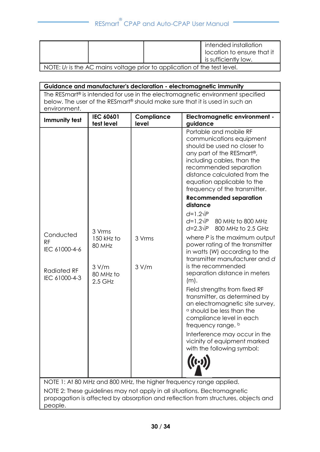|                                                                            |  |  | intended installation<br>I location to ensure that it<br>is sufficiently low. |
|----------------------------------------------------------------------------|--|--|-------------------------------------------------------------------------------|
| NOTE: $UT$ is the AC mains voltage prior to application of the test level. |  |  |                                                                               |

**Guidance and manufacturer's declaration - electromagnetic immunity** The RESmart® is intended for use in the electromagnetic environment specified below. The user of the RESmart® should make sure that it is used in such an environment. **Immunity test IEC 60601 test level Compliance level Electromagnetic environment guidance**  Conducted RF IEC 61000-4-6 Radiated RF IEC 61000-4-3 3 Vrms 150 kHz to 80 MHz 3 V/m 80 MHz to 2.5 GHz 3 Vrms 3 V/m Portable and mobile RF communications equipment should be used no closer to any part of the RESmart®, including cables, than the recommended separation distance calculated from the equation applicable to the frequency of the transmitter. **Recommended separation distance** *d*=1.2√*P d*=1.2√*P* 80 MHz to 800 MHz *d*=2.3√*P* 800 MHz to 2.5 GHz where *P* is the maximum output power rating of the transmitter in watts (W) according to the transmitter manufacturer and *d* is the recommended separation distance in meters  $(m)$ . Field strengths from fixed RF transmitter, as determined by an electromagnetic site survey, <sup>a</sup> should be less than the compliance level in each frequency range. b Interference may occur in the vicinity of equipment marked with the following symbol: NOTE 1: At 80 MHz and 800 MHz, the higher frequency range applied. NOTE 2: These guidelines may not apply in all situations. Electromagnetic propagation is affected by absorption and reflection from structures, objects and people.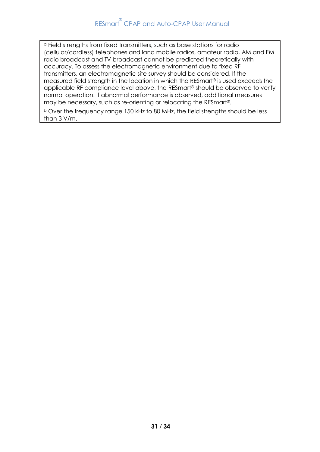<sup>a</sup> Field strengths from fixed transmitters, such as base stations for radio (cellular/cordless) telephones and land mobile radios, amateur radio, AM and FM radio broadcast and TV broadcast cannot be predicted theoretically with accuracy. To assess the electromagnetic environment due to fixed RF transmitters, an electromagnetic site survey should be considered. If the measured field strength in the location in which the RESmart® is used exceeds the applicable RF compliance level above, the RESmart® should be observed to verify normal operation. If abnormal performance is observed, additional measures may be necessary, such as re-orienting or relocating the RESmart®.

<sup>b</sup> Over the frequency range 150 kHz to 80 MHz, the field strengths should be less than 3 V/m.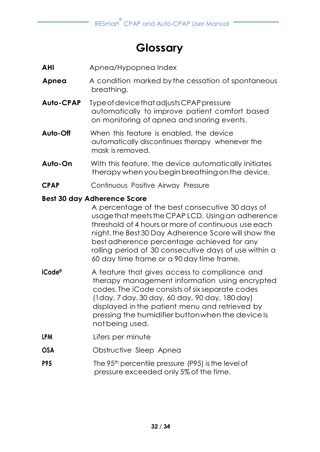# **Glossary**

- <span id="page-33-0"></span>**AHI** Apnea/Hypopnea Index
- **Apnea** A condition marked by the cessation of spontaneous breathing.
- **Auto-CPAP** TypeofdevicethatadjustsCPAPpressure automatically to improve patient comfort based on monitoring of apnea and snoring events.
- **Auto-Off** When this feature is enabled, the device automatically discontinues therapy whenever the mask is removed.
- **Auto-On** With this feature, the device automatically initiates therapy when youbeginbreathingonthe device.
- **CPAP** Continuous Positive Airway Pressure

#### **Best 30 day Adherence Score**

A percentage of the best consecutive 30 days of usagethat meetsthe CPAP LCD. Usingan adherence threshold of 4 hours or more of continuous use each night,the Best 30 Day Adherence Score will show the best adherence percentage achieved for any rolling period of 30 consecutive days of use within a 60 day time frame or a 90 day time frame.

- **iCode®** A feature that gives access to compliance and therapy management information using encrypted codes. The iCode consists of six separate codes (1day, 7 day, 30 day, 60 day, 90 day, 180 day) displayed in the patient menu and retrieved by pressing the humidifier buttonwhen the device is notbeing used.
- **LPM** Lifers per minute
- **OSA Obstructive Sleep Apnea**
- **P95** The 95<sup>th</sup> percentile pressure (P95) is the level of pressure exceeded only 5% of the time.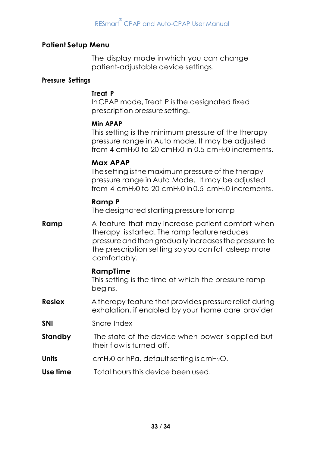#### **Patient Setup Menu**

The display mode inwhich you can change patient-adjustable device settings.

#### **Pressure Settings**

#### **Treat P**

InCPAP mode, Treat P isthe designated fixed prescription pressuresetting.

#### **Min APAP**

This setting is the minimum pressure of the therapy pressure range in Auto mode. It may be adjusted from 4 cmH<sub>2</sub>0 to 20 cmH<sub>2</sub>0 in 0.5 cmH<sub>2</sub>0 increments.

#### **Max APAP**

Thesetting isthe maximum pressure of the therapy pressure range in Auto Mode. It may be adjusted from 4 cmH<sub>2</sub>0 to 20 cmH<sub>2</sub>0 in 0.5 cmH<sub>2</sub>0 increments.

#### **Ramp P**

The designated starting pressurefor ramp

**Ramp** A feature that may increase patient comfort when therapy isstarted. The ramp feature reduces pressure and then gradually increases the pressure to the prescription setting so you can fall asleep more comfortably.

#### **RampTime**

This setting is the time at which the pressure ramp begins.

- **Reslex** A therapy feature that provides pressure relief during exhalation, if enabled by your home care provider
- **SNI** Snore Index
- **Standby** The state of the device when power is applied but their flow is turned off.
- **Units** cmH<sub>2</sub>0 or hPa, default setting is cmH<sub>2</sub>O.
- **Use time** Total hoursthis device been used.